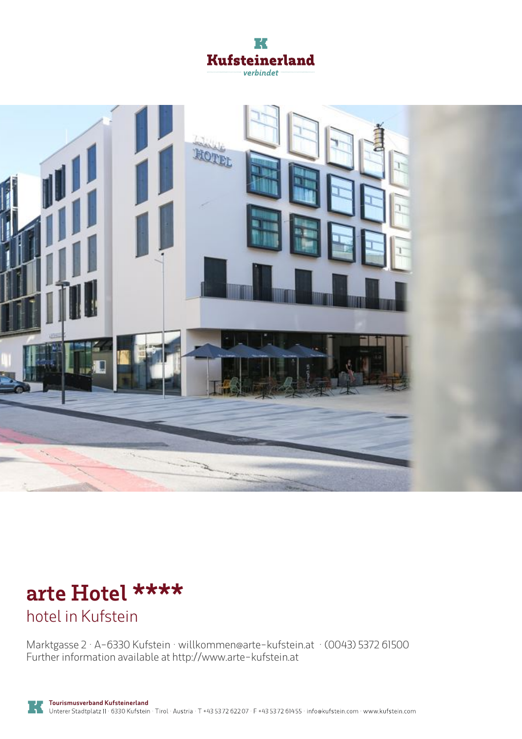



# **arte Hotel \*\*\*\***

hotel in Kufstein

Marktgasse 2 · A-6330 Kufstein · **willkommen@arte-kufstein.at** · **(0043) 5372 61500** Further information available at **http://www.arte-kufstein.at**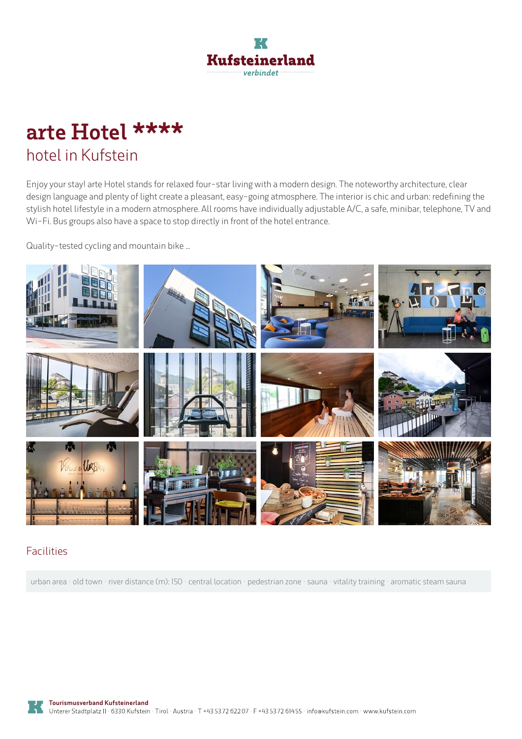

# **arte Hotel \*\*\*\*** hotel in Kufstein

Enjoy your stay! arte Hotel stands for relaxed four-star living with a modern design. The noteworthy architecture, clear design language and plenty of light create a pleasant, easy-going atmosphere. The interior is chic and urban: redefining the stylish hotel lifestyle in <sup>a</sup> modern atmosphere. All rooms have individually adjustable A/C, <sup>a</sup> safe, minibar, telephone, TV and Wi-Fi. Bus groups also have <sup>a</sup> space to stop directly in front of the hotel entrance.

Quality-tested cycling and mountain bike ...



### Facilities

urban area · old town · river distance (m): 150 · central location · pedestrian zone · sauna · vitality training · aromatic steam sauna